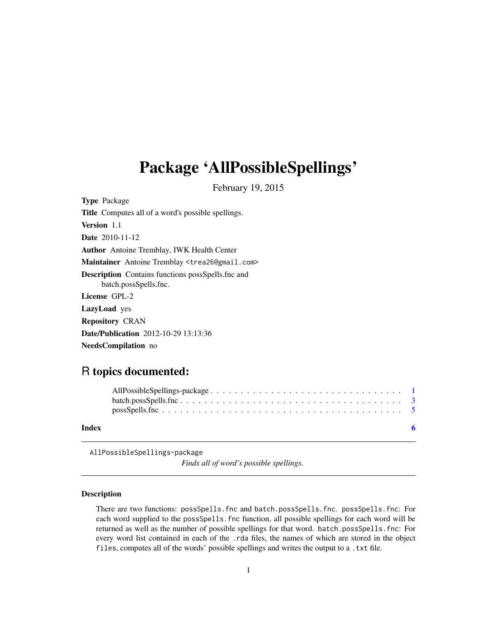## <span id="page-0-0"></span>Package 'AllPossibleSpellings'

February 19, 2015

Type Package Title Computes all of a word's possible spellings. Version 1.1 Date 2010-11-12 Author Antoine Tremblay, IWK Health Center Maintainer Antoine Tremblay <trea26@gmail.com> Description Contains functions possSpells.fnc and batch.possSpells.fnc. License GPL-2 LazyLoad yes Repository CRAN Date/Publication 2012-10-29 13:13:36

NeedsCompilation no

### R topics documented:

| Index | -6 |
|-------|----|

AllPossibleSpellings-package

*Finds all of word's possible spellings.*

#### Description

There are two functions: possSpells.fnc and batch.possSpells.fnc. possSpells.fnc: For each word supplied to the possSpells.fnc function, all possible spellings for each word will be returned as well as the number of possible spellings for that word. batch.possSpells.fnc: For every word list contained in each of the .rda files, the names of which are stored in the object files, computes all of the words' possible spellings and writes the output to a .txt file.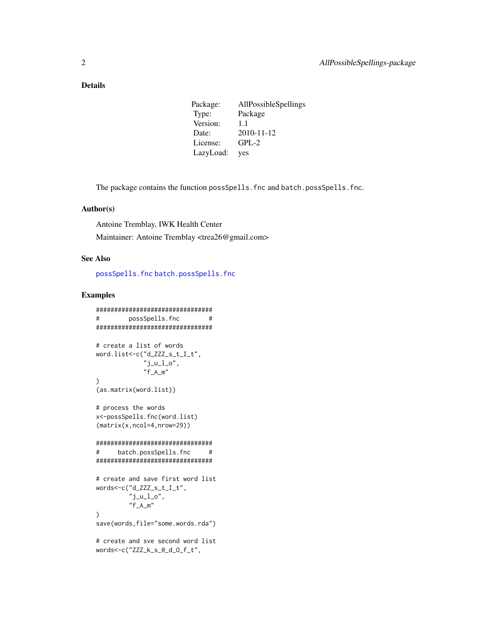#### <span id="page-1-0"></span>Details

| Package:  | AllPossibleSpellings |
|-----------|----------------------|
| Type:     | Package              |
| Version:  | 1.1                  |
| Date:     | 2010-11-12           |
| License:  | $GPL-2$              |
| LazyLoad: | yes                  |

The package contains the function possSpells.fnc and batch.possSpells.fnc.

#### Author(s)

Antoine Tremblay, IWK Health Center Maintainer: Antoine Tremblay <trea26@gmail.com>

#### See Also

[possSpells.fnc](#page-4-1) [batch.possSpells.fnc](#page-2-1)

#### Examples

```
################################
# possSpells.fnc #
################################
# create a list of words
word.list<-c("d_ZZZ_s_t_I_t",
            "j\_u\_l\_o",
            "f_A_m"\lambda(as.matrix(word.list))
# process the words
x<-possSpells.fnc(word.list)
(matrix(x,ncol=4,nrow=29))
################################
# batch.possSpells.fnc #
################################
# create and save first word list
words<-c("d_ZZZ_s_t_I_t",
        "j_u_l_o",
        "f_A_m"
)
save(words,file="some.words.rda")
# create and sve second word list
words<-c("ZZZ_k_s_@_d_O_f_t",
```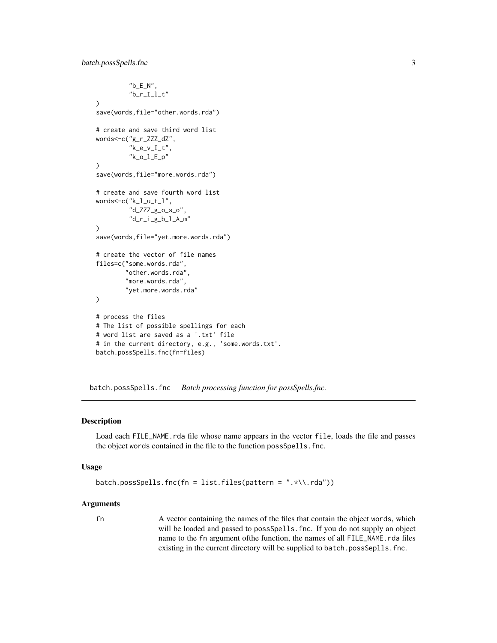```
nb<sup>-E_N"</sup>,
          "b_r_I_I_l_t")
save(words,file="other.words.rda")
# create and save third word list
words<-c("g_r_ZZZ_dZ",
          "k_e_v_I_t",
          "k_o_l_E_p"
\mathcal{L}save(words,file="more.words.rda")
# create and save fourth word list
words<-c("k_l_u_t_l",
          "d_ZZZ_g_o_s_o",
          "d_r_i_g_b_l_A_m"
\mathcal{L}save(words,file="yet.more.words.rda")
# create the vector of file names
files=c("some.words.rda",
        "other.words.rda",
        "more.words.rda",
        "yet.more.words.rda"
\mathcal{L}# process the files
# The list of possible spellings for each
# word list are saved as a '.txt' file
# in the current directory, e.g., 'some.words.txt'.
batch.possSpells.fnc(fn=files)
```
<span id="page-2-1"></span>batch.possSpells.fnc *Batch processing function for possSpells.fnc.*

#### Description

Load each FILE\_NAME.rda file whose name appears in the vector file, loads the file and passes the object words contained in the file to the function possSpells.fnc.

#### Usage

```
batch.possSpells.fnc(fn = list.files(pattern = ".*\\.rda"))
```
#### Arguments

fn A vector containing the names of the files that contain the object words, which will be loaded and passed to possSpells.fnc. If you do not supply an object name to the fn argument ofthe function, the names of all FILE\_NAME.rda files existing in the current directory will be supplied to batch.possSeplls.fnc.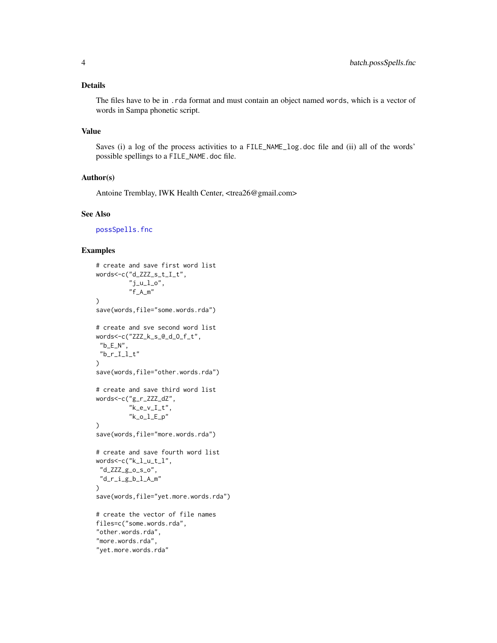#### <span id="page-3-0"></span>Details

The files have to be in .rda format and must contain an object named words, which is a vector of words in Sampa phonetic script.

#### Value

Saves (i) a log of the process activities to a FILE\_NAME\_log.doc file and (ii) all of the words' possible spellings to a FILE\_NAME.doc file.

#### Author(s)

Antoine Tremblay, IWK Health Center, <trea26@gmail.com>

#### See Also

[possSpells.fnc](#page-4-1)

#### Examples

```
# create and save first word list
words<-c("d_ZZZ_s_t_I_t",
         "j\_u\_l\_o" ,
         "f_A_m")
save(words,file="some.words.rda")
# create and sve second word list
words<-c("ZZZ_k_s_@_d_O_f_t",
"b<sup>-E_N"</sup>,
"b_r_I_I_l_t"\mathcal{L}save(words,file="other.words.rda")
# create and save third word list
words<-c("g_r_ZZZ_dZ",
         "k_e_v_l_l_t",
         "k_o_l_E_p"
)
save(words,file="more.words.rda")
# create and save fourth word list
words<-c("k_l_u_t_l",
 "d_ZZZ_g_o_s_o",
 "d_r_i_g_b_l_A_m"
\mathcal{L}save(words,file="yet.more.words.rda")
# create the vector of file names
files=c("some.words.rda",
"other.words.rda",
"more.words.rda",
"yet.more.words.rda"
```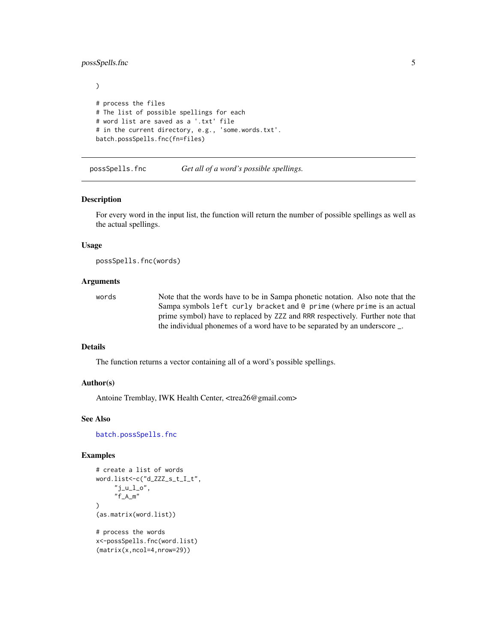#### <span id="page-4-0"></span>possSpells.fnc 5

```
)
# process the files
# The list of possible spellings for each
# word list are saved as a '.txt' file
# in the current directory, e.g., 'some.words.txt'.
batch.possSpells.fnc(fn=files)
```
<span id="page-4-1"></span>possSpells.fnc *Get all of a word's possible spellings.*

#### Description

For every word in the input list, the function will return the number of possible spellings as well as the actual spellings.

#### Usage

possSpells.fnc(words)

#### Arguments

words Note that the words have to be in Sampa phonetic notation. Also note that the Sampa symbols left curly bracket and @ prime (where prime is an actual prime symbol) have to replaced by ZZZ and RRR respectively. Further note that the individual phonemes of a word have to be separated by an underscore \_.

#### Details

The function returns a vector containing all of a word's possible spellings.

#### Author(s)

Antoine Tremblay, IWK Health Center, <trea26@gmail.com>

#### See Also

[batch.possSpells.fnc](#page-2-1)

#### Examples

```
# create a list of words
word.list<-c("d_ZZZ_s_t_I_t",
     "j\_u\_l\_o",
     "f_A_m"
)
(as.matrix(word.list))
# process the words
x<-possSpells.fnc(word.list)
(matrix(x,ncol=4,nrow=29))
```